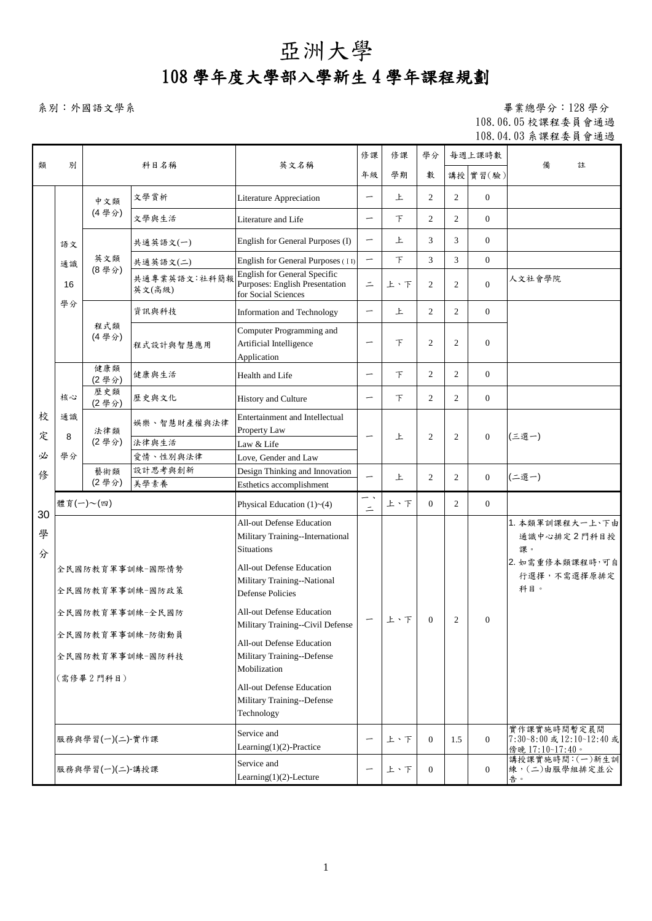## 亞洲大學

## 108 學年度大學部入學新生 4 學年課程規劃

系別:外國語文學系 アンディスク エコン アンディスク エコン エコン エコン エコン エコン エコン エキング エコン エキング エコン エキスター エコン エキスター エコン エキスター エコン エキスター エコン エキスター エコン エキスター エコン エキスター エコン エキスター エコン エキスター エコン エキスター エコン エキスター エコン エキスター エコン エキスター エコン エキスター エコン エキスター エコン 108.06.05 校課程委員會通過 108.04.03 系課程委員會通過

|        |                                    | 科目名稱            |                        | 英文名稱                                                                                         | 修課                       | 修課     | 學分             | 每週上課時數         |                |                                                             |
|--------|------------------------------------|-----------------|------------------------|----------------------------------------------------------------------------------------------|--------------------------|--------|----------------|----------------|----------------|-------------------------------------------------------------|
| 類      | 別                                  |                 |                        |                                                                                              | 年級                       | 學期     | 數              |                | 講授 實習(驗)       | 備<br>註                                                      |
|        |                                    | 中文類             | 文學賞析                   | <b>Literature Appreciation</b>                                                               |                          | 上      | $\overline{2}$ | $\overline{2}$ | $\mathbf{0}$   |                                                             |
|        |                                    | (4學分)           | 文學與生活                  | Literature and Life                                                                          | -                        | $\top$ | $\overline{2}$ | 2              | $\mathbf{0}$   |                                                             |
|        | 語文                                 |                 | 共通英語文(一)               | English for General Purposes (I)                                                             | $\overline{\phantom{0}}$ | 上      | 3              | 3              | $\mathbf{0}$   |                                                             |
|        | 通識                                 | 英文類             | 共通英語文(二)               | English for General Purposes (II)                                                            |                          | 下      | 3              | 3              | $\mathbf{0}$   |                                                             |
|        | 16                                 | (8學分)           | 共通專業英語文:社科簡報<br>英文(高級) | <b>English for General Specific</b><br>Purposes: English Presentation<br>for Social Sciences | $\equiv$                 | 上、下    | $\overline{2}$ | $\overline{2}$ | $\overline{0}$ | 人文社會學院                                                      |
|        | 學分                                 |                 | 資訊與科技                  | Information and Technology                                                                   |                          | 上      | $\overline{2}$ | $\overline{2}$ | $\overline{0}$ |                                                             |
|        |                                    | 程式類<br>(4學分)    | 程式設計與智慧應用              | Computer Programming and<br>Artificial Intelligence<br>Application                           | -                        | 下      | 2              | 2              | $\Omega$       |                                                             |
|        |                                    | 健康類<br>(2學分)    | 健康與生活                  | Health and Life                                                                              | —                        | $\top$ | $\overline{2}$ | $\overline{2}$ | $\mathbf{0}$   |                                                             |
|        | 核心                                 | 歷史類<br>(2學分)    | 歷史與文化                  | History and Culture                                                                          | —                        | $\top$ | $\overline{2}$ | $\overline{2}$ | $\mathbf{0}$   |                                                             |
| 校<br>定 | 通識<br>8                            | 法律類             | 娱樂、智慧財產權與法律            | Entertainment and Intellectual<br>Property Law                                               | $\overline{\phantom{0}}$ | 上      | 2              | $\mathbf{2}$   | $\mathbf{0}$   | (三選一)                                                       |
|        | (2學分)                              | 法律與生活           | Law & Life             |                                                                                              |                          |        |                |                |                |                                                             |
| 必      | 學分                                 |                 | 愛情、性別與法律               | Love, Gender and Law                                                                         |                          |        |                |                |                |                                                             |
| 俢      |                                    | 藝術類             | 設計思考與創新                | Design Thinking and Innovation                                                               | —                        | 上      | $\overline{2}$ | $\overline{2}$ | $\mathbf{0}$   | (二選一)                                                       |
|        |                                    | (2學分)           | 美學素養                   | Esthetics accomplishment                                                                     |                          |        |                |                |                |                                                             |
| 30     |                                    | 體育(一)~(四)       |                        | Physical Education (1)~(4)                                                                   | — <b>.</b><br>$\equiv$   | 上、下    | $\Omega$       | $\overline{2}$ | $\overline{0}$ |                                                             |
| 學<br>分 |                                    |                 |                        | All-out Defense Education<br>Military Training--International<br><b>Situations</b>           |                          |        |                |                |                | 1. 本類軍訓課程大一上、下由<br>通識中心排定2門科目授<br>課。                        |
|        | 全民國防教育軍事訓練-國際情勢<br>全民國防教育軍事訓練-國防政策 |                 |                        | <b>All-out Defense Education</b><br>Military Training--National<br><b>Defense Policies</b>   |                          |        |                |                |                | 2. 如需重修本類課程時,可自<br>行選擇,不需選擇原排定<br>科目。                       |
|        |                                    |                 | 全民國防教育軍事訓練-全民國防        | <b>All-out Defense Education</b><br>Military Training--Civil Defense                         | $\overline{\phantom{m}}$ | 上、下    | $\overline{0}$ | $\overline{2}$ | $\mathbf{0}$   |                                                             |
|        |                                    |                 | 全民國防教育軍事訓練-防衛動員        | All-out Defense Education                                                                    |                          |        |                |                |                |                                                             |
|        |                                    |                 | 全民國防教育軍事訓練-國防科技        | Military Training--Defense<br>Mobilization                                                   |                          |        |                |                |                |                                                             |
|        |                                    | (需修畢2門科目)       |                        | All-out Defense Education<br>Military Training--Defense<br>Technology                        |                          |        |                |                |                |                                                             |
|        |                                    | 服務與學習(一)(二) 實作課 |                        | Service and<br>Learning $(1)(2)$ -Practice                                                   |                          | 上、下    | $\overline{0}$ | 1.5            | $\overline{0}$ | 實作課實施時間暫定晨間<br>7:30~8:00 或 12:10~12:40 或<br>傍晚 17:10~17:40。 |
|        | 服務與學習(一)(二)-講授課                    |                 |                        | Service and<br>Learning $(1)(2)$ -Lecture                                                    | $\overline{\phantom{0}}$ | 上、下    | $\overline{0}$ |                | $\overline{0}$ | 講授課實施時間:(一)新生訓<br>練,(二)由服學組排定並公<br>告。                       |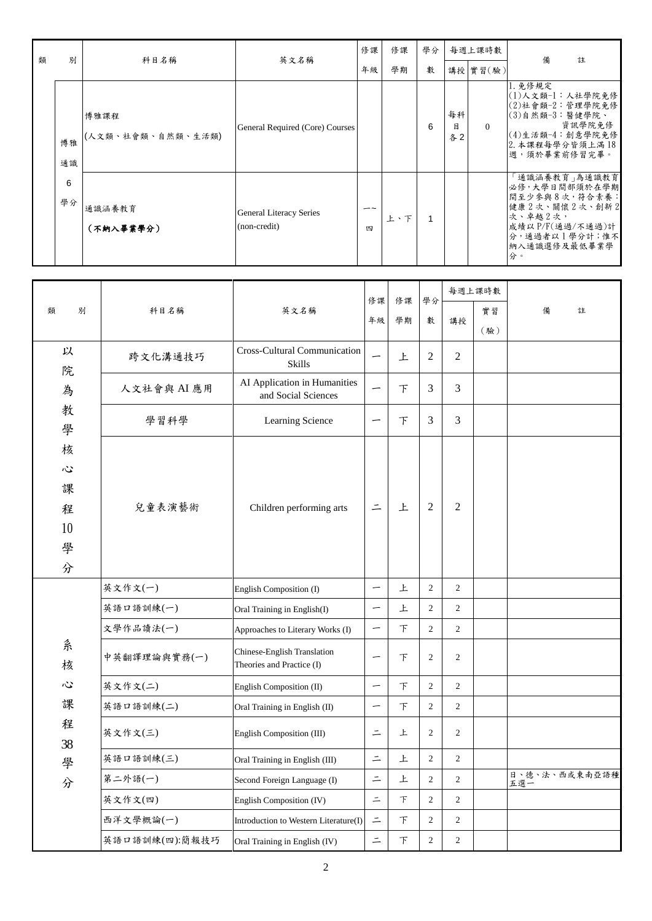| 類 | 別        | 科目名稱                      | 英文名稱                                           | 修課           | 修課  | 學分 | 每週上課時數        |          | 備<br>註                                                                                                                                       |
|---|----------|---------------------------|------------------------------------------------|--------------|-----|----|---------------|----------|----------------------------------------------------------------------------------------------------------------------------------------------|
|   |          |                           |                                                | 年級           | 學期  | 數  |               | 講授 實習(驗) |                                                                                                                                              |
|   | 博雅<br>通識 | 博雅課程<br>(人文類、社會類、自然類、生活類) | General Required (Core) Courses                |              |     | 6  | 每科<br>目<br>各2 | $\Omega$ | 1. 免修規定<br> (1)人文類-1:人社學院免修<br> (2)社會類-2:管理學院免修<br> (3)自然類-3:醫健學院、<br>資訊學院免修<br>$(4)$ 生活類-4:創意學院免修<br>2. 本課程每學分皆須上滿18<br> 週,須於畢業前修習完畢。       |
|   | 6<br>學分  | 通識涵養教育<br>(不納入畢業學分)       | <b>General Literacy Series</b><br>(non-credit) | $ \sim$<br>四 | 上、下 |    |               |          | │通識涵養教育  為通識教育 <br>必修,大學日間部須於在學期<br>  間至少參與8次, 符合素養:<br>健康2次、關懷2次、創新2<br>次、卓越2次,<br>成績以P/F(通過/不通過)計<br>分,通過者以1學分計;惟不<br> 納入通識選修及最低畢業學 <br>分。 |

|                   | 科目名稱           | 英文名稱                                                     | 修課<br>年級                 | 修課<br>學期 | 學分             |                | 每週上課時數 |                      |
|-------------------|----------------|----------------------------------------------------------|--------------------------|----------|----------------|----------------|--------|----------------------|
| 別<br>類            |                |                                                          |                          |          | 數              | 講授             | 實習     | 備<br>註               |
|                   |                |                                                          |                          |          |                |                | (驗)    |                      |
| 以<br>院            | 跨文化溝通技巧        | <b>Cross-Cultural Communication</b><br><b>Skills</b>     |                          | 上        | $\overline{2}$ | $\overline{2}$ |        |                      |
| 為                 | 人文社會與 AI 應用    | AI Application in Humanities<br>and Social Sciences      | $\overline{\phantom{0}}$ | 下        | 3              | 3              |        |                      |
| 教<br>學            | 學習科學           | Learning Science                                         | $\overline{\phantom{0}}$ | 下        | 3              | 3              |        |                      |
| 核<br>Ş<br>課       |                |                                                          | $\equiv$                 | 上        | 2              | $\overline{c}$ |        |                      |
| 程<br>10<br>學<br>分 | 兒童表演藝術         | Children performing arts                                 |                          |          |                |                |        |                      |
|                   | 英文作文(一)        | English Composition (I)                                  |                          | 上        | $\mathfrak{2}$ | $\overline{2}$ |        |                      |
|                   | 英語口語訓練(一)      | Oral Training in English(I)                              | $\overline{\phantom{m}}$ | 上        | $\overline{2}$ | $\overline{2}$ |        |                      |
|                   | 文學作品讀法(一)      | Approaches to Literary Works (I)                         | $\overline{\phantom{m}}$ | 下        | $\overline{c}$ | $\overline{c}$ |        |                      |
| 糸<br>核            | 中英翻譯理論與實務(一)   | Chinese-English Translation<br>Theories and Practice (I) |                          | 下        | $\overline{c}$ | $\overline{2}$ |        |                      |
| Ş                 | 英文作文(二)        | English Composition (II)                                 |                          | F        | $\overline{2}$ | $\overline{2}$ |        |                      |
| 課                 | 英語口語訓練(二)      | Oral Training in English (II)                            | $\overline{\phantom{m}}$ | 下        | $\overline{c}$ | $\overline{c}$ |        |                      |
| 程<br>38           | 英文作文(三)        | English Composition (III)                                | $\equiv$                 | 上        | 2              | $\overline{2}$ |        |                      |
| 學                 | 英語口語訓練(三)      | Oral Training in English (III)                           | $\equiv$                 | 上        | $\overline{c}$ | $\overline{c}$ |        |                      |
| 分                 | 第二外語(一)        | Second Foreign Language (I)                              | $\equiv$                 | 上        | $\overline{c}$ | $\overline{c}$ |        | 日、德、法、西或東南亞語種<br>五選一 |
|                   | 英文作文(四)        | English Composition (IV)                                 | $\equiv$                 | $\top$   | $\overline{c}$ | $\overline{c}$ |        |                      |
|                   | 西洋文學概論(一)      | Introduction to Western Literature(I)                    | $\equiv$                 | 下        | $\overline{c}$ | $\overline{c}$ |        |                      |
|                   | 英語口語訓練(四):簡報技巧 | Oral Training in English (IV)                            | $\equiv$                 | 下        | $\overline{c}$ | $\overline{c}$ |        |                      |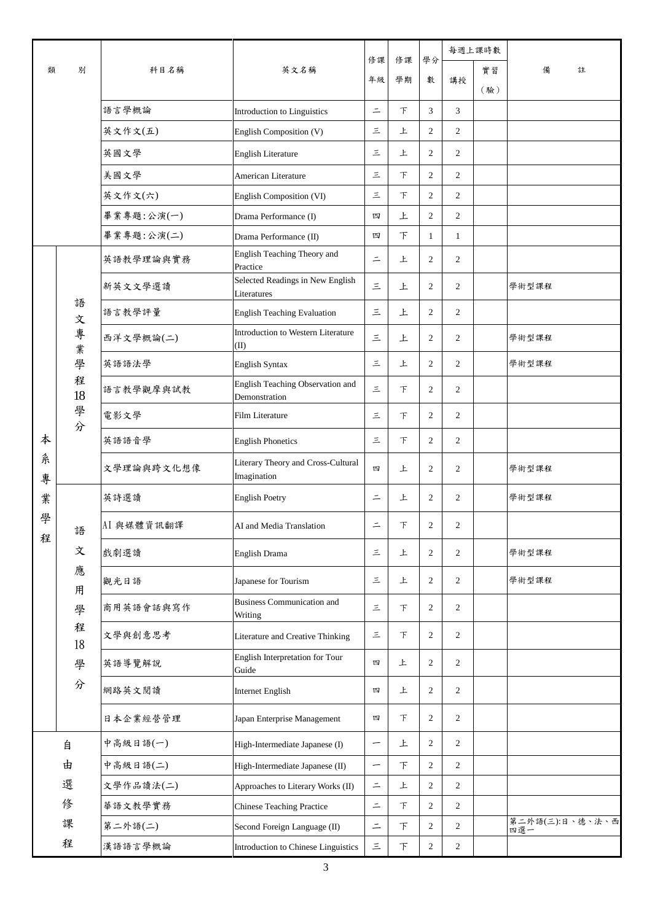|        |                        | 科目名稱       | 英文名稱                                              | 修課<br>年級 |          | 學分               | 每週上課時數         |     |                        |  |
|--------|------------------------|------------|---------------------------------------------------|----------|----------|------------------|----------------|-----|------------------------|--|
| 類      | 別                      |            |                                                   |          | 修課<br>學期 |                  | 講授             | 實習  | 備<br>註                 |  |
|        |                        |            |                                                   |          |          | 數                |                | (驗) |                        |  |
|        |                        | 語言學概論      | Introduction to Linguistics                       | $\equiv$ | $\top$   | 3                | 3              |     |                        |  |
|        |                        | 英文作文(五)    | English Composition (V)                           | 三        | 上        | $\overline{2}$   | $\overline{2}$ |     |                        |  |
|        |                        | 英國文學       | <b>English Literature</b>                         | 三        | 上        | 2                | $\overline{2}$ |     |                        |  |
|        |                        | 美國文學       | American Literature                               | 三        | 下        | $\overline{c}$   | $\mathfrak{2}$ |     |                        |  |
|        |                        | 英文作文(六)    | English Composition (VI)                          | 三        | F        | 2                | $\overline{2}$ |     |                        |  |
|        |                        | 畢業專題:公演(一) | Drama Performance (I)                             | 四        | 上        | 2                | $\overline{c}$ |     |                        |  |
|        |                        | 畢業專題:公演(二) | Drama Performance (II)                            | 四        | F        | $\mathbf{1}$     | $\mathbf{1}$   |     |                        |  |
|        |                        | 英語教學理論與實務  | English Teaching Theory and<br>Practice           | $\equiv$ | 上        | $\overline{c}$   | $\mathfrak{2}$ |     |                        |  |
|        |                        | 新英文文學選讀    | Selected Readings in New English<br>Literatures   | $\leq$   | 上        | $\mathfrak{2}$   | $\overline{2}$ |     | 學術型課程                  |  |
|        | 語<br>文                 | 語言教學評量     | <b>English Teaching Evaluation</b>                | 三        | 上        | $\overline{c}$   | $\overline{2}$ |     |                        |  |
|        | 專<br>業                 | 西洋文學概論(二)  | Introduction to Western Literature<br>(II)        | 三        | 上        | $\overline{c}$   | 2              |     | 學術型課程                  |  |
|        | 學<br>程<br>18<br>學<br>分 | 英語語法學      | <b>English Syntax</b>                             | 三        | 上        | 2                | $\overline{2}$ |     | 學術型課程                  |  |
|        |                        | 語言教學觀摩與試教  | English Teaching Observation and<br>Demonstration | 三        | $\top$   | $\mathfrak{2}$   | $\overline{2}$ |     |                        |  |
|        |                        | 電影文學       | Film Literature                                   | 三        | F        | 2                | $\overline{2}$ |     |                        |  |
| 本      |                        | 英語語音學      | <b>English Phonetics</b>                          | 三        | $\top$   | $\mathfrak{2}$   | $\overline{c}$ |     |                        |  |
| 糸<br>專 |                        | 文學理論與跨文化想像 | Literary Theory and Cross-Cultural<br>Imagination | 四        | 上        | $\overline{2}$   | $\overline{2}$ |     | 學術型課程                  |  |
| 業      |                        | 英詩選讀       | <b>English Poetry</b>                             | $\equiv$ | 上        | $\mathfrak{2}$   | $\overline{2}$ |     | 學術型課程                  |  |
| 學<br>程 | 語                      | AI 與媒體資訊翻譯 | AI and Media Translation                          | $\equiv$ | 下        | $\sqrt{2}$       | $\mathfrak{2}$ |     |                        |  |
|        | 文                      | 戲劇選讀       | English Drama                                     | 三        | 上        | $\sqrt{2}$       | $\mathbf{2}$   |     | 學術型課程                  |  |
|        | 應<br>用                 | 觀光日語       | Japanese for Tourism                              | 三        | 上        | $\sqrt{2}$       | 2              |     | 學術型課程                  |  |
|        | 學                      | 商用英語會話與寫作  | <b>Business Communication and</b><br>Writing      | 三        | 下        | $\mathfrak{2}$   | $\mathbf{2}$   |     |                        |  |
|        | 程<br>18                | 文學與創意思考    | Literature and Creative Thinking                  | 三        | 下        | $\overline{2}$   | $\overline{2}$ |     |                        |  |
|        | 學                      | 英語導覽解說     | English Interpretation for Tour<br>Guide          | 四        | 上        | $\mathfrak{2}$   | $\overline{c}$ |     |                        |  |
|        | 分                      | 網路英文閱讀     | <b>Internet English</b>                           | 四        | 上        | $\mathfrak{2}$   | $\mathbf{2}$   |     |                        |  |
|        |                        | 日本企業經營管理   | Japan Enterprise Management                       | 四        | 下        | $\boldsymbol{2}$ | $\overline{c}$ |     |                        |  |
|        | 自                      | 中高級日語(一)   | High-Intermediate Japanese (I)                    | —        | 上        | $\mathfrak{2}$   | $\overline{c}$ |     |                        |  |
|        | 由                      | 中高級日語(二)   | High-Intermediate Japanese (II)                   | —        | 下        | $\mathfrak{2}$   | $\mathfrak{2}$ |     |                        |  |
|        | 選                      | 文學作品讀法(二)  | Approaches to Literary Works (II)                 | $\equiv$ | 上        | $\mathfrak{2}$   | $\mathfrak{2}$ |     |                        |  |
|        | 俢                      | 華語文教學實務    | <b>Chinese Teaching Practice</b>                  | $\equiv$ | 下        | 2                | 2              |     |                        |  |
|        | 課                      | 第二外語(二)    | Second Foreign Language (II)                      | $\equiv$ | $\top$   | $\boldsymbol{2}$ | $\overline{c}$ |     | 第二外語(三):日、德、法、西<br>四選一 |  |
|        | 程                      | 漢語語言學概論    | Introduction to Chinese Linguistics               | $\equiv$ | $\top$   | $\overline{c}$   | $\overline{c}$ |     |                        |  |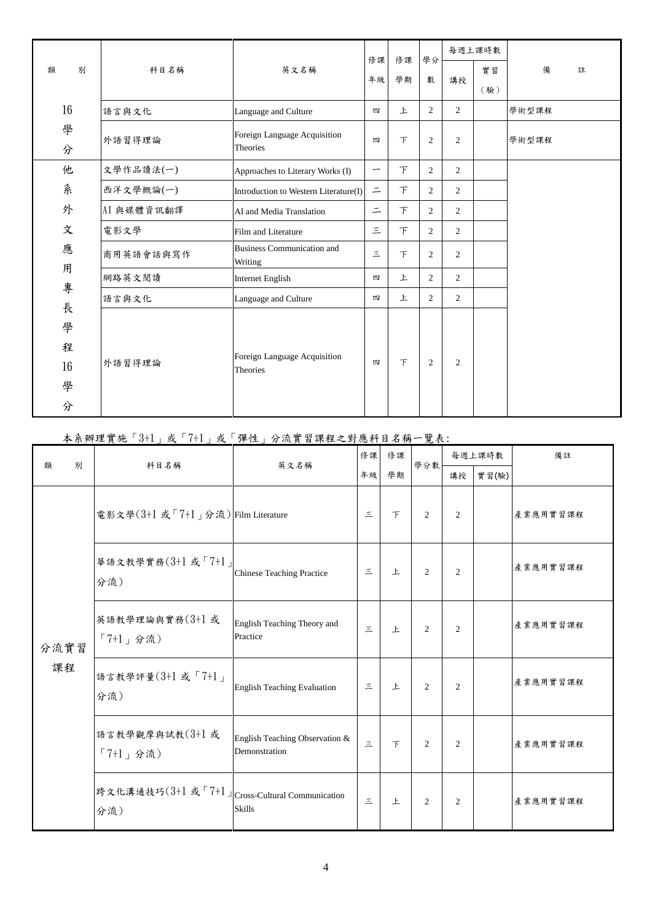|        |            |                                              | 修課       |          | 學分             | 每週上課時數         |     |       |   |
|--------|------------|----------------------------------------------|----------|----------|----------------|----------------|-----|-------|---|
| 別<br>類 | 科目名稱       | 英文名稱                                         | 年級       | 修課<br>學期 | 數              | 講授             | 實習  | 備     | 註 |
|        |            |                                              |          |          |                |                | (驗) |       |   |
| 16     | 語言與文化      | Language and Culture                         | 四        | 上        | $\overline{c}$ | 2              |     | 學術型課程 |   |
| 學<br>分 | 外語習得理論     | Foreign Language Acquisition<br>Theories     | 四        | 下        | $\overline{2}$ | $\overline{2}$ |     | 學術型課程 |   |
| 他      | 文學作品讀法(一)  | Approaches to Literary Works (I)             | —        | 下        | $\overline{2}$ | $\overline{2}$ |     |       |   |
| 系      | 西洋文學概論(一)  | Introduction to Western Literature(I)        | $\equiv$ | 下        | 2              | $\overline{2}$ |     |       |   |
| 外      | AI 與媒體資訊翻譯 | AI and Media Translation                     | $\equiv$ | 下        | 2              | $\overline{2}$ |     |       |   |
| 文      | 電影文學       | Film and Literature                          | Ξ        | 下        | 2              | 2              |     |       |   |
| 應      | 商用英語會話與寫作  | <b>Business Communication and</b><br>Writing | $\leq$   | F        | $\overline{2}$ | $\overline{2}$ |     |       |   |
| 用<br>專 | 網路英文閱讀     | <b>Internet English</b>                      | 四        | 上        | $\overline{2}$ | $\overline{2}$ |     |       |   |
| 長      | 語言與文化      | Language and Culture                         | 四        | 上        | $\overline{2}$ | $\overline{2}$ |     |       |   |
| 學      |            |                                              |          |          |                |                |     |       |   |
| 程      |            |                                              |          |          |                |                |     |       |   |
| 16     | 外語習得理論     | Foreign Language Acquisition<br>Theories     | 四        | F        | $\overline{2}$ | $\overline{2}$ |     |       |   |
| 學      |            |                                              |          |          |                |                |     |       |   |
| 分      |            |                                              |          |          |                |                |     |       |   |

## 本系辦理實施「3+1」或「7+1」或「彈性」分流實習課程之對應科目名稱一覽表:

| 類          | 別 | 科目名稱                                                   | 英文名稱                                            | 修課     | 修課            | 學分數            | 每週上課時數         |       | 備註       |
|------------|---|--------------------------------------------------------|-------------------------------------------------|--------|---------------|----------------|----------------|-------|----------|
|            |   |                                                        |                                                 |        | 學期            |                | 講授             | 實習(驗) |          |
| 分流實習<br>課程 |   | 電影文學(3+1 或「7+1」分流) Film Literature                     |                                                 | $\leq$ | $\mathcal{F}$ | $\overline{2}$ | $\overline{2}$ |       | 產業應用實習課程 |
|            |   | 華語文教學實務(3+1或「7+1」<br>分流)                               | <b>Chinese Teaching Practice</b>                | 三      | 上             | $\overline{2}$ | $\overline{2}$ |       | 產業應用實習課程 |
|            |   | 英語教學理論與實務(3+1或<br>「7+1」分流)                             | English Teaching Theory and<br>Practice         | 三      | 上             | $\overline{2}$ | $\overline{2}$ |       | 產業應用實習課程 |
|            |   | 語言教學評量(3+1或「7+1」<br>分流)                                | <b>English Teaching Evaluation</b>              | 三      | $\mathbf{E}$  | $\overline{2}$ | $\overline{2}$ |       | 產業應用實習課程 |
|            |   | 語言教學觀摩與試教(3+1或<br>「7+1」分流)                             | English Teaching Observation &<br>Demonstration | $\leq$ | $\top$        | $\overline{2}$ | 2              |       | 產業應用實習課程 |
|            |   | 跨文化溝通技巧(3+1 或「7+1」 Cross-Cultural Communication<br>分流) | <b>Skills</b>                                   | $\leq$ | 上             | $\mathfrak{D}$ | $\overline{2}$ |       | 產業應用實習課程 |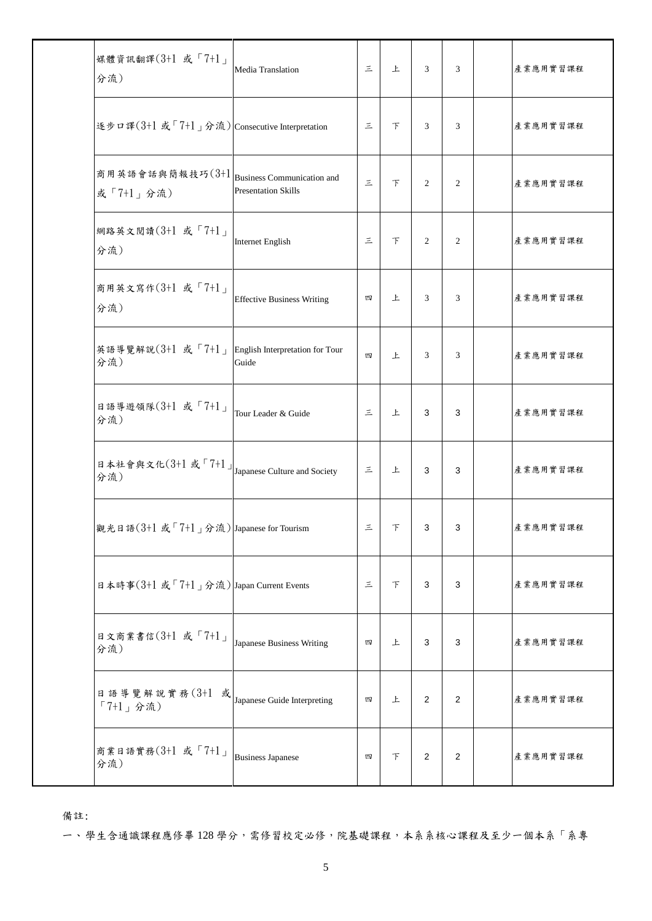| 媒體資訊翻譯(3+1 或「7+1」<br>分流)                                                        | Media Translation                                               | $\leq$   | 上      | 3              | 3              | 產業應用實習課程 |
|---------------------------------------------------------------------------------|-----------------------------------------------------------------|----------|--------|----------------|----------------|----------|
| 逐步ロ譯(3+1 或「7+1」分流) Consecutive Interpretation                                   |                                                                 | $\equiv$ | $\top$ | 3              | 3              | 產業應用實習課程 |
| 商用英語會話與簡報技巧(3+1<br>或「7+1」分流)                                                    | <b>Business Communication and</b><br><b>Presentation Skills</b> | $\leq$   | $\top$ | 2              | $\overline{2}$ | 產業應用實習課程 |
| 網路英文閱讀(3+1 或「7+1」<br>分流)                                                        | <b>Internet English</b>                                         | $\leq$   | $\top$ | $\overline{2}$ | $\overline{c}$ | 產業應用實習課程 |
| 商用英文寫作(3+1 或「7+1」<br>分流)                                                        | <b>Effective Business Writing</b>                               | 四        | 上      | 3              | 3              | 產業應用實習課程 |
| 英語導覽解說 $(3+1 \pm 7+1)$<br>分流)                                                   | English Interpretation for Tour<br>Guide                        | 四        | 上      | 3              | 3              | 產業應用實習課程 |
| 日語導遊領隊(3+1 或「7+1」<br>分流)                                                        | Tour Leader & Guide                                             | 三        | 上      | 3              | 3              | 產業應用實習課程 |
| 日本社會與文化 $(3+1 \text{ s}^T7+1)$ J <sub>Japanese</sub> Culture and Society<br>分流) |                                                                 | 三        | 上      | 3              | 3              | 產業應用實習課程 |
| 觀光日語(3+1 或「7+1」分流) Japanese for Tourism                                         |                                                                 | 三        | 下      | 3              | 3              | 產業應用實習課程 |
| 日本時事(3+1 或「7+1」分流) Japan Current Events                                         |                                                                 | $\leq$   | $\top$ | 3              | 3              | 產業應用實習課程 |
| 日文商業書信(3+1 或「7+1」<br>分流)                                                        | Japanese Business Writing                                       | 四        | 上      | $\mathbf{3}$   | 3              | 產業應用實習課程 |
| 日語導覽解說實務(3+1 或<br>「7+1」分流)                                                      | Japanese Guide Interpreting                                     | 四        | 上      | 2              | 2              | 產業應用實習課程 |
| 商業日語實務(3+1 或「7+1」<br>分流)                                                        | <b>Business Japanese</b>                                        | 四        | $\top$ | 2              | 2              | 產業應用實習課程 |

備註:

一、學生含通識課程應修畢 128 學分,需修習校定必修,院基礎課程,本系系核心課程及至少一個本系「系專